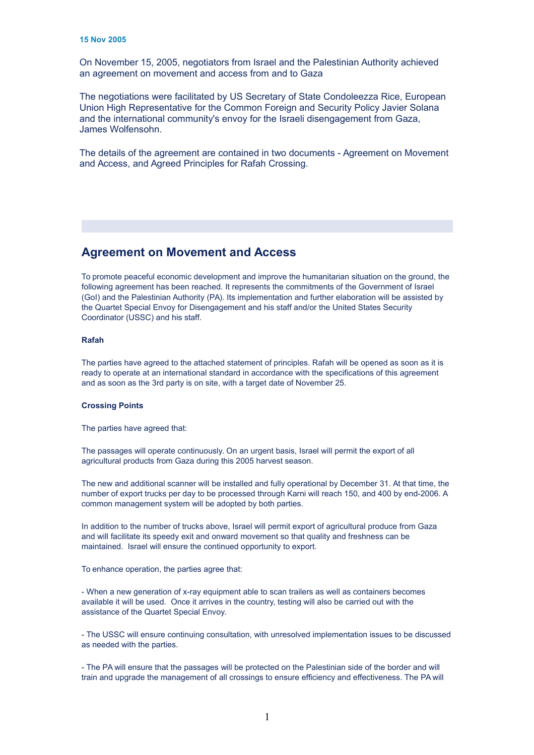**Agreed documents on movement and access from and to Gaza** On November 15, 2005, negotiators from Israel and the Palestinian Authority achieved an agreement on movement and access from and to Gaza

The negotiations were facilitated by US Secretary of State Condoleezza Rice, European Union High Representative for the Common Foreign and Security Policy Javier Solana and the international community's envoy for the Israeli disengagement from Gaza, James Wolfensohn.

The details of the agreement are contained in two documents - Agreement on Movement and Access, and Agreed Principles for Rafah Crossing.

# **Agreement on Movement and Access**

To promote peaceful economic development and improve the humanitarian situation on the ground, the following agreement has been reached. It represents the commitments of the Government of Israel (GoI) and the Palestinian Authority (PA). Its implementation and further elaboration will be assisted by the Quartet Special Envoy for Disengagement and his staff and/or the United States Security Coordinator (USSC) and his staff.

## **Rafah**

The parties have agreed to the attached statement of principles. Rafah will be opened as soon as it is ready to operate at an international standard in accordance with the specifications of this agreement and as soon as the 3rd party is on site, with a target date of November 25.

#### **Crossing Points**

The parties have agreed that:

The passages will operate continuously. On an urgent basis, Israel will permit the export of all agricultural products from Gaza during this 2005 harvest season.

The new and additional scanner will be installed and fully operational by December 31. At that time, the number of export trucks per day to be processed through Karni will reach 150, and 400 by end-2006. A common management system will be adopted by both parties.

In addition to the number of trucks above, Israel will permit export of agricultural produce from Gaza and will facilitate its speedy exit and onward movement so that quality and freshness can be maintained. Israel will ensure the continued opportunity to export.

To enhance operation, the parties agree that:

- When a new generation of x-ray equipment able to scan trailers as well as containers becomes available it will be used. Once it arrives in the country, testing will also be carried out with the assistance of the Quartet Special Envoy.

- The USSC will ensure continuing consultation, with unresolved implementation issues to be discussed as needed with the parties.

- The PA will ensure that the passages will be protected on the Palestinian side of the border and will train and upgrade the management of all crossings to ensure efficiency and effectiveness. The PA will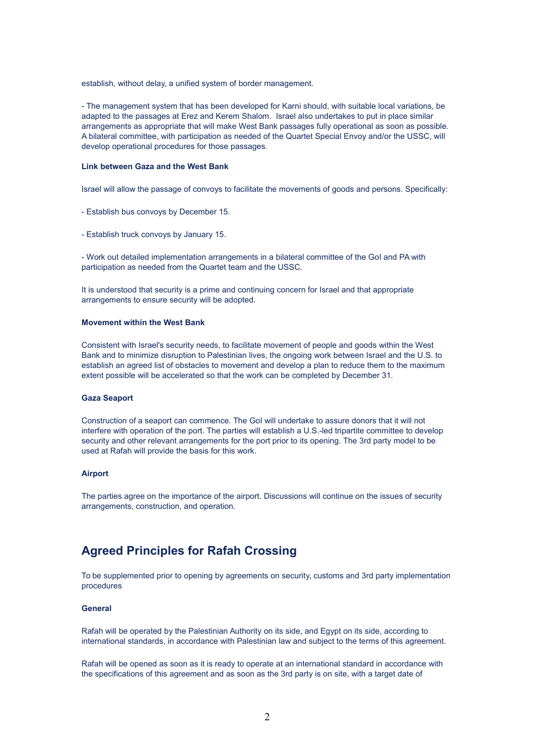establish, without delay, a unified system of border management.

- The management system that has been developed for Karni should, with suitable local variations, be adapted to the passages at Erez and Kerem Shalom. Israel also undertakes to put in place similar arrangements as appropriate that will make West Bank passages fully operational as soon as possible. A bilateral committee, with participation as needed of the Quartet Special Envoy and/or the USSC, will develop operational procedures for those passages.

### **Link between Gaza and the West Bank**

Israel will allow the passage of convoys to facilitate the movements of goods and persons. Specifically:

- Establish bus convoys by December 15.
- Establish truck convoys by January 15.

- Work out detailed implementation arrangements in a bilateral committee of the GoI and PA with participation as needed from the Quartet team and the USSC.

It is understood that security is a prime and continuing concern for Israel and that appropriate arrangements to ensure security will be adopted.

### **Movement within the West Bank**

Consistent with Israel's security needs, to facilitate movement of people and goods within the West Bank and to minimize disruption to Palestinian lives, the ongoing work between Israel and the U.S. to establish an agreed list of obstacles to movement and develop a plan to reduce them to the maximum extent possible will be accelerated so that the work can be completed by December 31.

## **Gaza Seaport**

Construction of a seaport can commence. The GoI will undertake to assure donors that it will not interfere with operation of the port. The parties will establish a U.S.-led tripartite committee to develop security and other relevant arrangements for the port prior to its opening. The 3rd party model to be used at Rafah will provide the basis for this work.

#### **Airport**

The parties agree on the importance of the airport. Discussions will continue on the issues of security arrangements, construction, and operation.

# **Agreed Principles for Rafah Crossing**

To be supplemented prior to opening by agreements on security, customs and 3rd party implementation procedures

## **General**

Rafah will be operated by the Palestinian Authority on its side, and Egypt on its side, according to international standards, in accordance with Palestinian law and subject to the terms of this agreement.

Rafah will be opened as soon as it is ready to operate at an international standard in accordance with the specifications of this agreement and as soon as the 3rd party is on site, with a target date of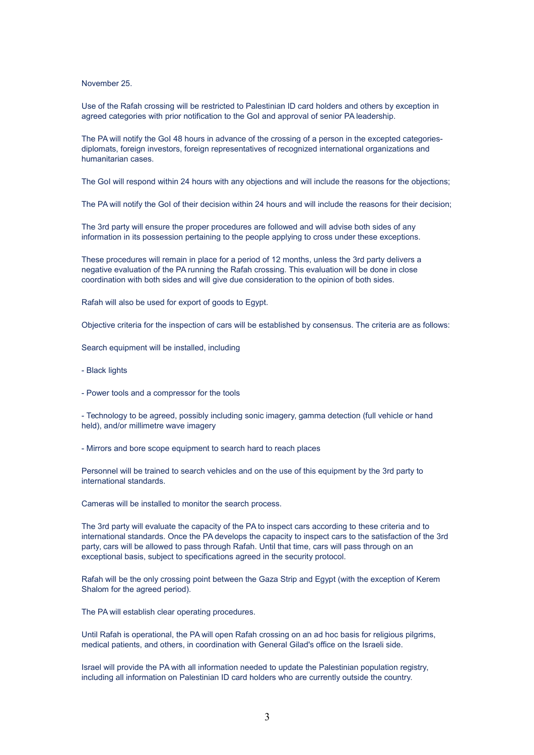November 25.

Use of the Rafah crossing will be restricted to Palestinian ID card holders and others by exception in agreed categories with prior notification to the GoI and approval of senior PA leadership.

The PA will notify the GoI 48 hours in advance of the crossing of a person in the excepted categoriesdiplomats, foreign investors, foreign representatives of recognized international organizations and humanitarian cases.

The GoI will respond within 24 hours with any objections and will include the reasons for the objections;

The PA will notify the GoI of their decision within 24 hours and will include the reasons for their decision;

The 3rd party will ensure the proper procedures are followed and will advise both sides of any information in its possession pertaining to the people applying to cross under these exceptions.

These procedures will remain in place for a period of 12 months, unless the 3rd party delivers a negative evaluation of the PA running the Rafah crossing. This evaluation will be done in close coordination with both sides and will give due consideration to the opinion of both sides.

Rafah will also be used for export of goods to Egypt.

Objective criteria for the inspection of cars will be established by consensus. The criteria are as follows:

Search equipment will be installed, including

- Black lights
- Power tools and a compressor for the tools

- Technology to be agreed, possibly including sonic imagery, gamma detection (full vehicle or hand held), and/or millimetre wave imagery

- Mirrors and bore scope equipment to search hard to reach places

Personnel will be trained to search vehicles and on the use of this equipment by the 3rd party to international standards.

Cameras will be installed to monitor the search process.

The 3rd party will evaluate the capacity of the PA to inspect cars according to these criteria and to international standards. Once the PA develops the capacity to inspect cars to the satisfaction of the 3rd party, cars will be allowed to pass through Rafah. Until that time, cars will pass through on an exceptional basis, subject to specifications agreed in the security protocol.

Rafah will be the only crossing point between the Gaza Strip and Egypt (with the exception of Kerem Shalom for the agreed period).

The PA will establish clear operating procedures.

Until Rafah is operational, the PA will open Rafah crossing on an ad hoc basis for religious pilgrims, medical patients, and others, in coordination with General Gilad's office on the Israeli side.

Israel will provide the PA with all information needed to update the Palestinian population registry, including all information on Palestinian ID card holders who are currently outside the country.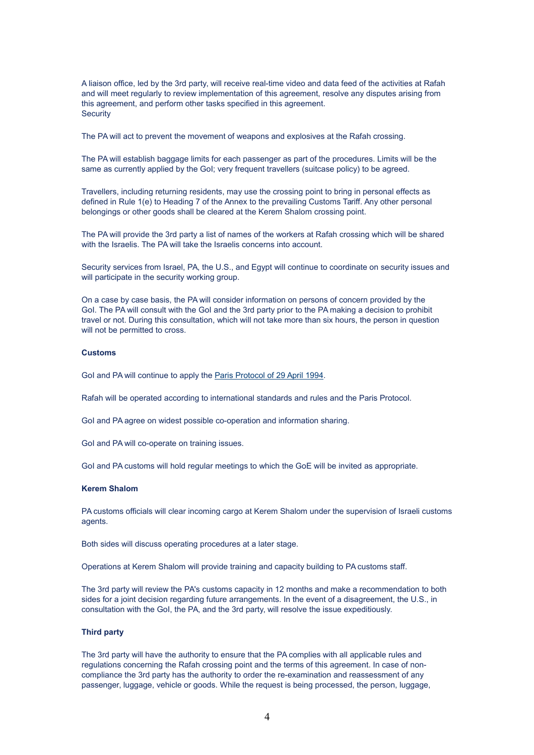A liaison office, led by the 3rd party, will receive real-time video and data feed of the activities at Rafah and will meet regularly to review implementation of this agreement, resolve any disputes arising from this agreement, and perform other tasks specified in this agreement. **Security** 

The PA will act to prevent the movement of weapons and explosives at the Rafah crossing.

The PA will establish baggage limits for each passenger as part of the procedures. Limits will be the same as currently applied by the GoI; very frequent travellers (suitcase policy) to be agreed.

Travellers, including returning residents, may use the crossing point to bring in personal effects as defined in Rule 1(e) to Heading 7 of the Annex to the prevailing Customs Tariff. Any other personal belongings or other goods shall be cleared at the Kerem Shalom crossing point.

The PA will provide the 3rd party a list of names of the workers at Rafah crossing which will be shared with the Israelis. The PA will take the Israelis concerns into account.

Security services from Israel, PA, the U.S., and Egypt will continue to coordinate on security issues and will participate in the security working group.

On a case by case basis, the PA will consider information on persons of concern provided by the GoI. The PA will consult with the GoI and the 3rd party prior to the PA making a decision to prohibit travel or not. During this consultation, which will not take more than six hours, the person in question will not be permitted to cross.

## **Customs**

GoI and PA will continue to apply the [Paris Protocol of 29 April 1994.](http://www.mfa.gov.il/MFA/Peace+Process/Guide+to+the+Peace+Process/Gaza-Jericho+Agreement+Annex+IV+-+Economic+Protoco.htm)

Rafah will be operated according to international standards and rules and the Paris Protocol.

GoI and PA agree on widest possible co-operation and information sharing.

GoI and PA will co-operate on training issues.

GoI and PA customs will hold regular meetings to which the GoE will be invited as appropriate.

## **Kerem Shalom**

PA customs officials will clear incoming cargo at Kerem Shalom under the supervision of Israeli customs agents.

Both sides will discuss operating procedures at a later stage.

Operations at Kerem Shalom will provide training and capacity building to PA customs staff.

The 3rd party will review the PA's customs capacity in 12 months and make a recommendation to both sides for a joint decision regarding future arrangements. In the event of a disagreement, the U.S., in consultation with the GoI, the PA, and the 3rd party, will resolve the issue expeditiously.

## **Third party**

The 3rd party will have the authority to ensure that the PA complies with all applicable rules and regulations concerning the Rafah crossing point and the terms of this agreement. In case of noncompliance the 3rd party has the authority to order the re-examination and reassessment of any passenger, luggage, vehicle or goods. While the request is being processed, the person, luggage,